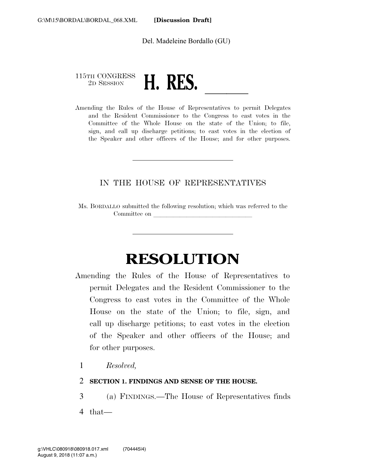Del. Madeleine Bordallo (GU)

# 115TH CONGRESS 2D SESSION **H. RES.**<br>Amending the Rules of the House of Representatives to permit Delegates

and the Resident Commissioner to the Congress to cast votes in the Committee of the Whole House on the state of the Union; to file, sign, and call up discharge petitions; to cast votes in the election of the Speaker and other officers of the House; and for other purposes.

### IN THE HOUSE OF REPRESENTATIVES

Ms. BORDALLO submitted the following resolution; which was referred to the Committee on

## **RESOLUTION**

- Amending the Rules of the House of Representatives to permit Delegates and the Resident Commissioner to the Congress to cast votes in the Committee of the Whole House on the state of the Union; to file, sign, and call up discharge petitions; to cast votes in the election of the Speaker and other officers of the House; and for other purposes.
	- 1 *Resolved,*
	- 2 **SECTION 1. FINDINGS AND SENSE OF THE HOUSE.**

3 (a) FINDINGS.—The House of Representatives finds

4 that—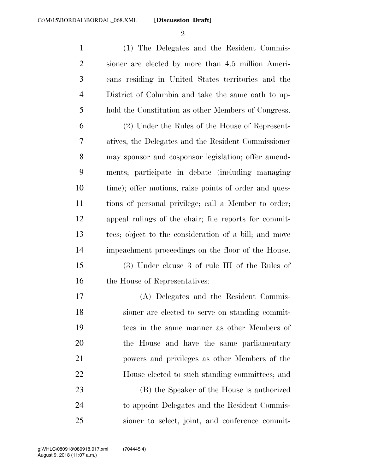$\mathfrak{D}$ 

 (1) The Delegates and the Resident Commis- sioner are elected by more than 4.5 million Ameri- cans residing in United States territories and the District of Columbia and take the same oath to up-hold the Constitution as other Members of Congress.

 (2) Under the Rules of the House of Represent- atives, the Delegates and the Resident Commissioner may sponsor and cosponsor legislation; offer amend- ments; participate in debate (including managing time); offer motions, raise points of order and ques- tions of personal privilege; call a Member to order; appeal rulings of the chair; file reports for commit- tees; object to the consideration of a bill; and move impeachment proceedings on the floor of the House.

 (3) Under clause 3 of rule III of the Rules of 16 the House of Representatives:

 (A) Delegates and the Resident Commis- sioner are elected to serve on standing commit- tees in the same manner as other Members of the House and have the same parliamentary powers and privileges as other Members of the House elected to such standing committees; and

 (B) the Speaker of the House is authorized to appoint Delegates and the Resident Commis-sioner to select, joint, and conference commit-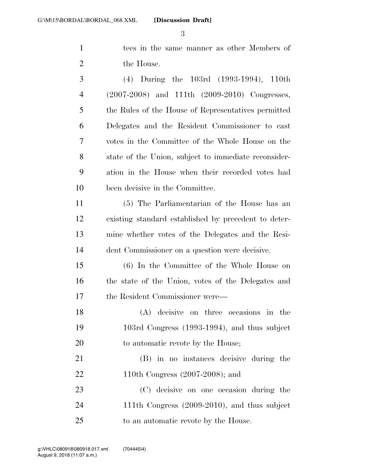tees in the same manner as other Members of 2 the House.

 (4) During the 103rd (1993-1994), 110th (2007-2008) and 111th (2009-2010) Congresses, the Rules of the House of Representatives permitted Delegates and the Resident Commissioner to cast votes in the Committee of the Whole House on the state of the Union, subject to immediate reconsider- ation in the House when their recorded votes had been decisive in the Committee.

 (5) The Parliamentarian of the House has an existing standard established by precedent to deter- mine whether votes of the Delegates and the Resi-dent Commissioner on a question were decisive.

 (6) In the Committee of the Whole House on the state of the Union, votes of the Delegates and the Resident Commissioner were—

 (A) decisive on three occasions in the 103rd Congress (1993-1994), and thus subject 20 to automatic revote by the House;

 (B) in no instances decisive during the 110th Congress (2007-2008); and

 (C) decisive on one occasion during the 111th Congress (2009-2010), and thus subject to an automatic revote by the House.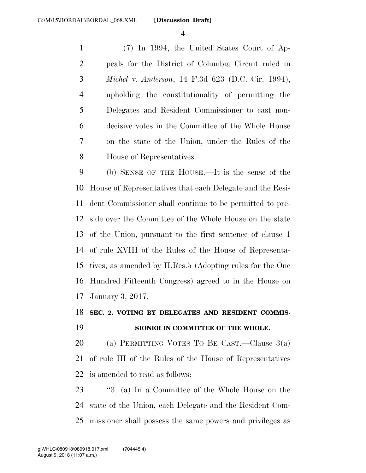(7) In 1994, the United States Court of Ap- peals for the District of Columbia Circuit ruled in *Michel* v. *Anderson*, 14 F.3d 623 (D.C. Cir. 1994), upholding the constitutionality of permitting the Delegates and Resident Commissioner to cast non- decisive votes in the Committee of the Whole House on the state of the Union, under the Rules of the House of Representatives.

 (b) SENSE OF THE HOUSE.—It is the sense of the House of Representatives that each Delegate and the Resi- dent Commissioner shall continue to be permitted to pre- side over the Committee of the Whole House on the state of the Union, pursuant to the first sentence of clause 1 of rule XVIII of the Rules of the House of Representa- tives, as amended by H.Res.5 (Adopting rules for the One Hundred Fifteenth Congress) agreed to in the House on January 3, 2017.

### **SEC. 2. VOTING BY DELEGATES AND RESIDENT COMMIS-SIONER IN COMMITTEE OF THE WHOLE.**

 (a) PERMITTING VOTES TO BE CAST.—Clause 3(a) of rule III of the Rules of the House of Representatives is amended to read as follows:

 ''3. (a) In a Committee of the Whole House on the state of the Union, each Delegate and the Resident Com-missioner shall possess the same powers and privileges as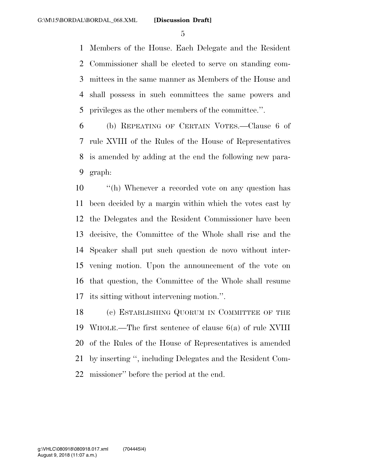Members of the House. Each Delegate and the Resident Commissioner shall be elected to serve on standing com- mittees in the same manner as Members of the House and shall possess in such committees the same powers and privileges as the other members of the committee.''.

 (b) REPEATING OF CERTAIN VOTES.—Clause 6 of rule XVIII of the Rules of the House of Representatives is amended by adding at the end the following new para-graph:

 ''(h) Whenever a recorded vote on any question has been decided by a margin within which the votes cast by the Delegates and the Resident Commissioner have been decisive, the Committee of the Whole shall rise and the Speaker shall put such question de novo without inter- vening motion. Upon the announcement of the vote on that question, the Committee of the Whole shall resume its sitting without intervening motion.''.

 (c) ESTABLISHING QUORUM IN COMMITTEE OF THE WHOLE.—The first sentence of clause 6(a) of rule XVIII of the Rules of the House of Representatives is amended by inserting '', including Delegates and the Resident Com-missioner'' before the period at the end.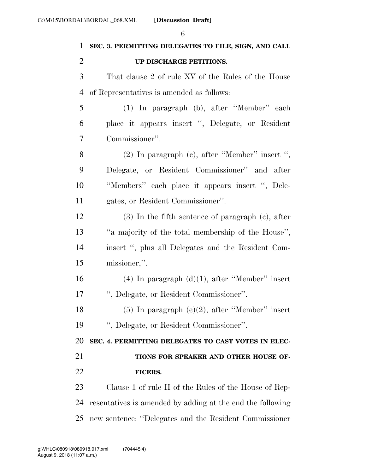| 1              | b<br>SEC. 3. PERMITTING DELEGATES TO FILE, SIGN, AND CALL |
|----------------|-----------------------------------------------------------|
| $\overline{2}$ | UP DISCHARGE PETITIONS.                                   |
| 3              | That clause 2 of rule XV of the Rules of the House        |
| 4              | of Representatives is amended as follows:                 |
| 5              | (1) In paragraph (b), after "Member" each                 |
| 6              | place it appears insert ", Delegate, or Resident          |
| 7              | Commissioner".                                            |
| 8              | $(2)$ In paragraph $(e)$ , after "Member" insert ",       |
| 9              | Delegate, or Resident Commissioner" and after             |
| 10             | "Members" each place it appears insert ", Dele-           |
| 11             | gates, or Resident Commissioner".                         |
| 12             | $(3)$ In the fifth sentence of paragraph $(c)$ , after    |
| 13             | "a majority of the total membership of the House",        |
| 14             | insert ", plus all Delegates and the Resident Com-        |
| 15             | missioner,".                                              |
| 16             | $(4)$ In paragraph $(d)(1)$ , after "Member" insert       |
| 17             | ", Delegate, or Resident Commissioner".                   |
| 18             | $(5)$ In paragraph $(e)(2)$ , after "Member" insert       |
| 19             | ", Delegate, or Resident Commissioner".                   |
| 20             | SEC. 4. PERMITTING DELEGATES TO CAST VOTES IN ELEC-       |
| 21             | TIONS FOR SPEAKER AND OTHER HOUSE OF-                     |
| 22             | <b>FICERS.</b>                                            |
|                |                                                           |
| 23             | Clause 1 of rule II of the Rules of the House of Rep-     |

new sentence: ''Delegates and the Resident Commissioner